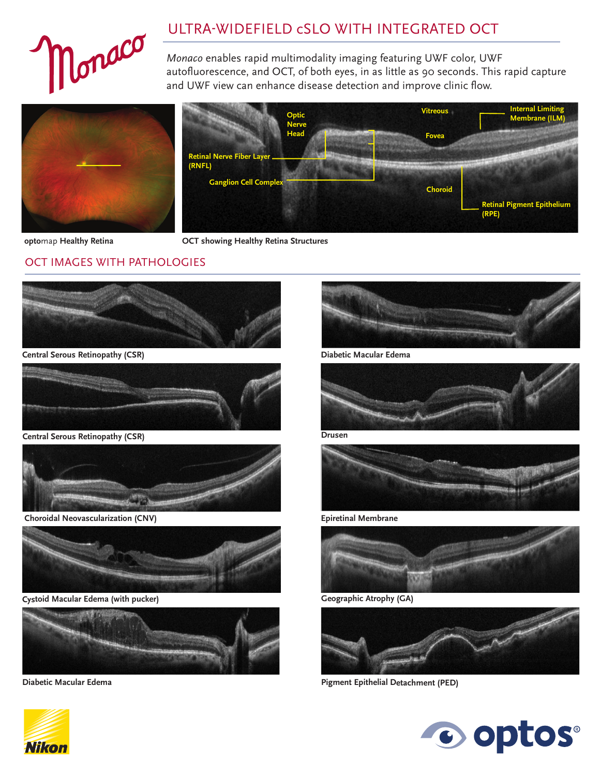

## ULTRA-WIDEFIELD cSLO WITH INTEGRATED OCT

*Monaco* enables rapid multimodality imaging featuring UWF color, UWF autofluorescence, and OCT, of both eyes, in as little as 90 seconds. This rapid capture and UWF view can enhance disease detection and improve clinic flow.



**opto**map **Healthy Retina OCT showing Healthy Retina Structures** 

## OCT IMAGES WITH PATHOLOGIES



**Central Serous Retinopathy (CSR)**



**Central Serous Retinopathy (CSR)**



 **Choroidal Neovascularization (CNV) Epiretinal Membrane**



**Cystoid Macular Edema (with pucker)**



**Diabetic Macular Edema**



**Diabetic Macular Edema**



**Drusen**





**Geographic Atrophy (GA)**



**Pigment Epithelial Detachment (PED)**